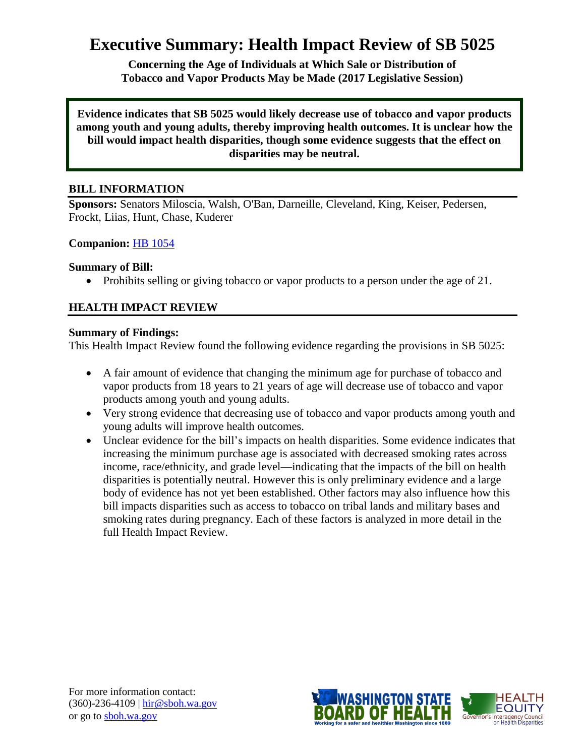# **Executive Summary: Health Impact Review of SB 5025**

**Concerning the Age of Individuals at Which Sale or Distribution of Tobacco and Vapor Products May be Made (2017 Legislative Session)**

**Evidence indicates that SB 5025 would likely decrease use of tobacco and vapor products among youth and young adults, thereby improving health outcomes. It is unclear how the bill would impact health disparities, though some evidence suggests that the effect on disparities may be neutral.**

# **BILL INFORMATION**

**Sponsors:** Senators Miloscia, Walsh, O'Ban, Darneille, Cleveland, King, Keiser, Pedersen, Frockt, Liias, Hunt, Chase, Kuderer

#### **Companion:** HB [1054](http://app.leg.wa.gov/billsummary?BillNumber=1054&Chamber=House&Year=2017)

#### **Summary of Bill:**

• Prohibits selling or giving tobacco or vapor products to a person under the age of 21.

# **HEALTH IMPACT REVIEW**

#### **Summary of Findings:**

This Health Impact Review found the following evidence regarding the provisions in SB 5025:

- A fair amount of evidence that changing the minimum age for purchase of tobacco and vapor products from 18 years to 21 years of age will decrease use of tobacco and vapor products among youth and young adults.
- Very strong evidence that decreasing use of tobacco and vapor products among youth and young adults will improve health outcomes.
- Unclear evidence for the bill's impacts on health disparities. Some evidence indicates that increasing the minimum purchase age is associated with decreased smoking rates across income, race/ethnicity, and grade level—indicating that the impacts of the bill on health disparities is potentially neutral. However this is only preliminary evidence and a large body of evidence has not yet been established. Other factors may also influence how this bill impacts disparities such as access to tobacco on tribal lands and military bases and smoking rates during pregnancy. Each of these factors is analyzed in more detail in the full Health Impact Review.

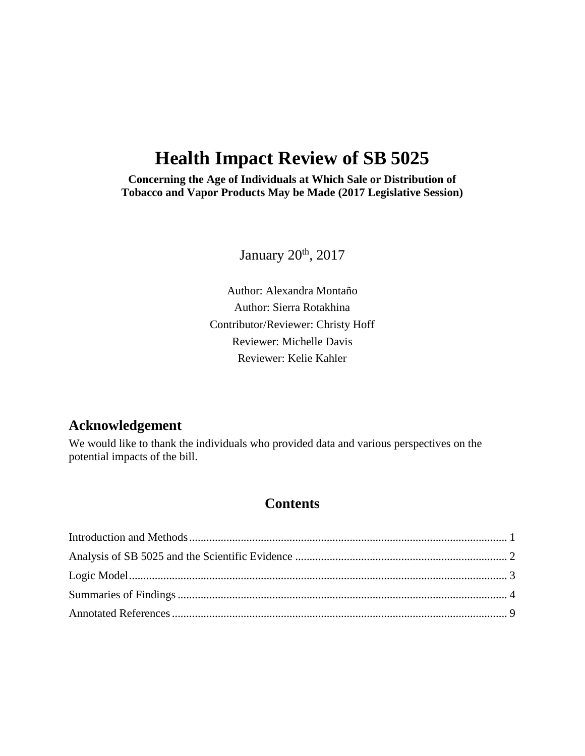# **Health Impact Review of SB 5025**

**Concerning the Age of Individuals at Which Sale or Distribution of Tobacco and Vapor Products May be Made (2017 Legislative Session)**

January 20<sup>th</sup>, 2017

Author: Alexandra Montaño Author: Sierra Rotakhina Contributor/Reviewer: Christy Hoff Reviewer: Michelle Davis Reviewer: Kelie Kahler

# **Acknowledgement**

We would like to thank the individuals who provided data and various perspectives on the potential impacts of the bill.

# **Contents**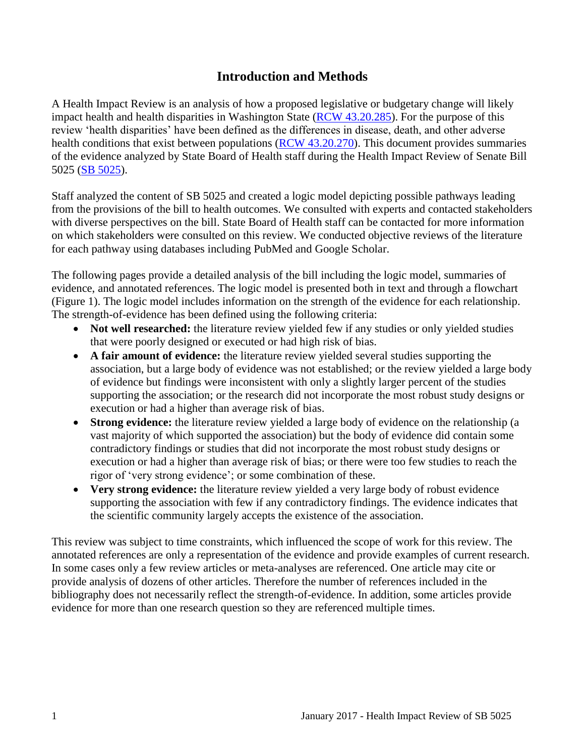# **Introduction and Methods**

<span id="page-2-0"></span>A Health Impact Review is an analysis of how a proposed legislative or budgetary change will likely impact health and health disparities in Washington State [\(RCW 43.20.285\)](http://apps.leg.wa.gov/rcw/default.aspx?cite=43.20.285). For the purpose of this review 'health disparities' have been defined as the differences in disease, death, and other adverse health conditions that exist between populations [\(RCW 43.20.270\)](http://apps.leg.wa.gov/rcw/default.aspx?cite=43.20.270). This document provides summaries of the evidence analyzed by State Board of Health staff during the Health Impact Review of Senate Bill 5025 [\(SB 5025\)](http://app.leg.wa.gov/billsummary?BillNumber=5025&Year=2017).

Staff analyzed the content of SB 5025 and created a logic model depicting possible pathways leading from the provisions of the bill to health outcomes. We consulted with experts and contacted stakeholders with diverse perspectives on the bill. State Board of Health staff can be contacted for more information on which stakeholders were consulted on this review. We conducted objective reviews of the literature for each pathway using databases including PubMed and Google Scholar.

The following pages provide a detailed analysis of the bill including the logic model, summaries of evidence, and annotated references. The logic model is presented both in text and through a flowchart (Figure 1). The logic model includes information on the strength of the evidence for each relationship. The strength-of-evidence has been defined using the following criteria:

- Not well researched: the literature review yielded few if any studies or only yielded studies that were poorly designed or executed or had high risk of bias.
- **A fair amount of evidence:** the literature review yielded several studies supporting the association, but a large body of evidence was not established; or the review yielded a large body of evidence but findings were inconsistent with only a slightly larger percent of the studies supporting the association; or the research did not incorporate the most robust study designs or execution or had a higher than average risk of bias.
- **Strong evidence:** the literature review yielded a large body of evidence on the relationship (a vast majority of which supported the association) but the body of evidence did contain some contradictory findings or studies that did not incorporate the most robust study designs or execution or had a higher than average risk of bias; or there were too few studies to reach the rigor of 'very strong evidence'; or some combination of these.
- **Very strong evidence:** the literature review yielded a very large body of robust evidence supporting the association with few if any contradictory findings. The evidence indicates that the scientific community largely accepts the existence of the association.

This review was subject to time constraints, which influenced the scope of work for this review. The annotated references are only a representation of the evidence and provide examples of current research. In some cases only a few review articles or meta-analyses are referenced. One article may cite or provide analysis of dozens of other articles. Therefore the number of references included in the bibliography does not necessarily reflect the strength-of-evidence. In addition, some articles provide evidence for more than one research question so they are referenced multiple times.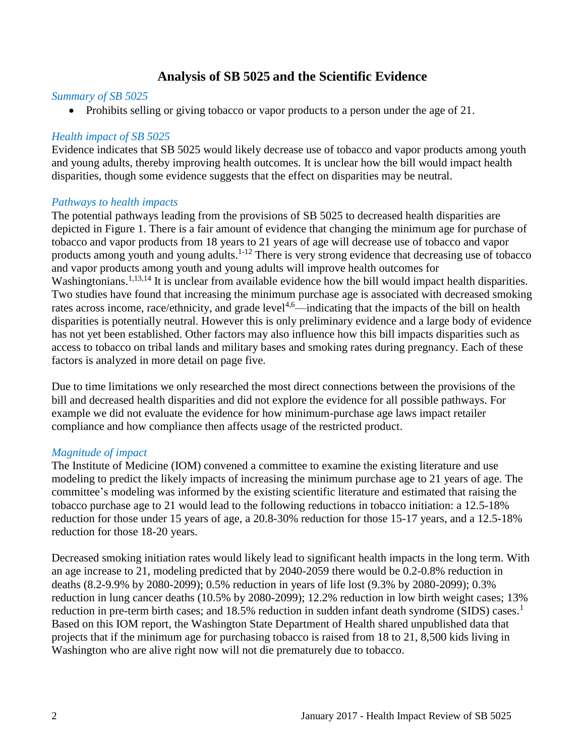# **Analysis of SB 5025 and the Scientific Evidence**

#### <span id="page-3-0"></span>*Summary of SB 5025*

• Prohibits selling or giving tobacco or vapor products to a person under the age of 21.

#### *Health impact of SB 5025*

Evidence indicates that SB 5025 would likely decrease use of tobacco and vapor products among youth and young adults, thereby improving health outcomes. It is unclear how the bill would impact health disparities, though some evidence suggests that the effect on disparities may be neutral.

#### *Pathways to health impacts*

The potential pathways leading from the provisions of SB 5025 to decreased health disparities are depicted in Figure 1. There is a fair amount of evidence that changing the minimum age for purchase of tobacco and vapor products from 18 years to 21 years of age will decrease use of tobacco and vapor products among youth and young adults.<sup>[1-12](#page-10-1)</sup> There is very strong evidence that decreasing use of tobacco and vapor products among youth and young adults will improve health outcomes for Washingtonians.<sup>[1,](#page-10-1)[13,](#page-16-0)[14](#page-16-1)</sup> It is unclear from available evidence how the bill would impact health disparities. Two studies have found that increasing the minimum purchase age is associated with decreased smoking rates across income, race/ethnicity, and grade level<sup>[4,](#page-11-0)[6](#page-12-0)</sup>—indicating that the impacts of the bill on health disparities is potentially neutral. However this is only preliminary evidence and a large body of evidence has not yet been established. Other factors may also influence how this bill impacts disparities such as access to tobacco on tribal lands and military bases and smoking rates during pregnancy. Each of these factors is analyzed in more detail on page five.

Due to time limitations we only researched the most direct connections between the provisions of the bill and decreased health disparities and did not explore the evidence for all possible pathways. For example we did not evaluate the evidence for how minimum-purchase age laws impact retailer compliance and how compliance then affects usage of the restricted product.

#### *Magnitude of impact*

The Institute of Medicine (IOM) convened a committee to examine the existing literature and use modeling to predict the likely impacts of increasing the minimum purchase age to 21 years of age. The committee's modeling was informed by the existing scientific literature and estimated that raising the tobacco purchase age to 21 would lead to the following reductions in tobacco initiation: a 12.5-18% reduction for those under 15 years of age, a 20.8-30% reduction for those 15-17 years, and a 12.5-18% reduction for those 18-20 years.

Decreased smoking initiation rates would likely lead to significant health impacts in the long term. With an age increase to 21, modeling predicted that by 2040-2059 there would be 0.2-0.8% reduction in deaths (8.2-9.9% by 2080-2099); 0.5% reduction in years of life lost (9.3% by 2080-2099); 0.3% reduction in lung cancer deaths (10.5% by 2080-2099); 12.2% reduction in low birth weight cases; 13% reduction in pre-term birth cases; and  $18.5\%$  $18.5\%$  reduction in sudden infant death syndrome (SIDS) cases.<sup>1</sup> Based on this IOM report, the Washington State Department of Health shared unpublished data that projects that if the minimum age for purchasing tobacco is raised from 18 to 21, 8,500 kids living in Washington who are alive right now will not die prematurely due to tobacco.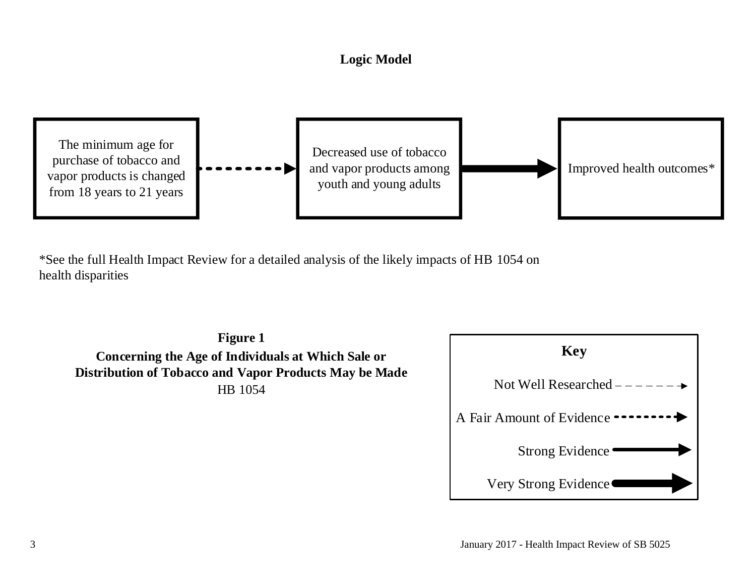# **Logic Model**



<span id="page-4-0"></span>\*See the full Health Impact Review for a detailed analysis of the likely impacts of HB 1054 on health disparities

**Figure 1 Concerning the Age of Individuals at Which Sale or Distribution of Tobacco and Vapor Products May be Made** HB 1054

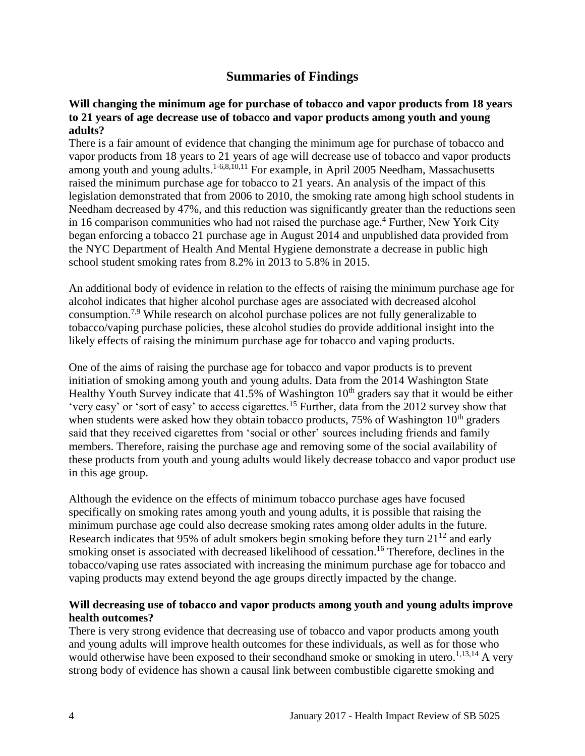# **Summaries of Findings**

#### <span id="page-5-0"></span>**Will changing the minimum age for purchase of tobacco and vapor products from 18 years to 21 years of age decrease use of tobacco and vapor products among youth and young adults?**

There is a fair amount of evidence that changing the minimum age for purchase of tobacco and vapor products from 18 years to 21 years of age will decrease use of tobacco and vapor products among youth and young adults.<sup>[1-6,](#page-10-1)[8,](#page-13-0)[10,](#page-15-0)[11](#page-15-1)</sup> For example, in April 2005 Needham, Massachusetts raised the minimum purchase age for tobacco to 21 years. An analysis of the impact of this legislation demonstrated that from 2006 to 2010, the smoking rate among high school students in Needham decreased by 47%, and this reduction was significantly greater than the reductions seen in 16 comparison communities who had not raised the purchase age.<sup>[4](#page-11-0)</sup> Further, New York City began enforcing a tobacco 21 purchase age in August 2014 and unpublished data provided from the NYC Department of Health And Mental Hygiene demonstrate a decrease in public high school student smoking rates from 8.2% in 2013 to 5.8% in 2015.

An additional body of evidence in relation to the effects of raising the minimum purchase age for alcohol indicates that higher alcohol purchase ages are associated with decreased alcohol consumption.[7](#page-13-1)[,9](#page-14-0) While research on alcohol purchase polices are not fully generalizable to tobacco/vaping purchase policies, these alcohol studies do provide additional insight into the likely effects of raising the minimum purchase age for tobacco and vaping products.

One of the aims of raising the purchase age for tobacco and vapor products is to prevent initiation of smoking among youth and young adults. Data from the 2014 Washington State Healthy Youth Survey indicate that  $41.5\%$  of Washington  $10<sup>th</sup>$  graders say that it would be either 'very easy' or 'sort of easy' to access cigarettes.[15](#page-17-0) Further, data from the 2012 survey show that when students were asked how they obtain tobacco products,  $75\%$  of Washington  $10<sup>th</sup>$  graders said that they received cigarettes from 'social or other' sources including friends and family members. Therefore, raising the purchase age and removing some of the social availability of these products from youth and young adults would likely decrease tobacco and vapor product use in this age group.

Although the evidence on the effects of minimum tobacco purchase ages have focused specifically on smoking rates among youth and young adults, it is possible that raising the minimum purchase age could also decrease smoking rates among older adults in the future. Research indicates that 95% of adult smokers begin smoking before they turn  $21^{12}$  $21^{12}$  $21^{12}$  and early smoking onset is associated with decreased likelihood of cessation. [16](#page-18-0) Therefore, declines in the tobacco/vaping use rates associated with increasing the minimum purchase age for tobacco and vaping products may extend beyond the age groups directly impacted by the change.

#### **Will decreasing use of tobacco and vapor products among youth and young adults improve health outcomes?**

There is very strong evidence that decreasing use of tobacco and vapor products among youth and young adults will improve health outcomes for these individuals, as well as for those who would otherwise have been exposed to their secondhand smoke or smoking in utero.<sup>[1](#page-10-1)[,13](#page-16-0)[,14](#page-16-1)</sup> A very strong body of evidence has shown a causal link between combustible cigarette smoking and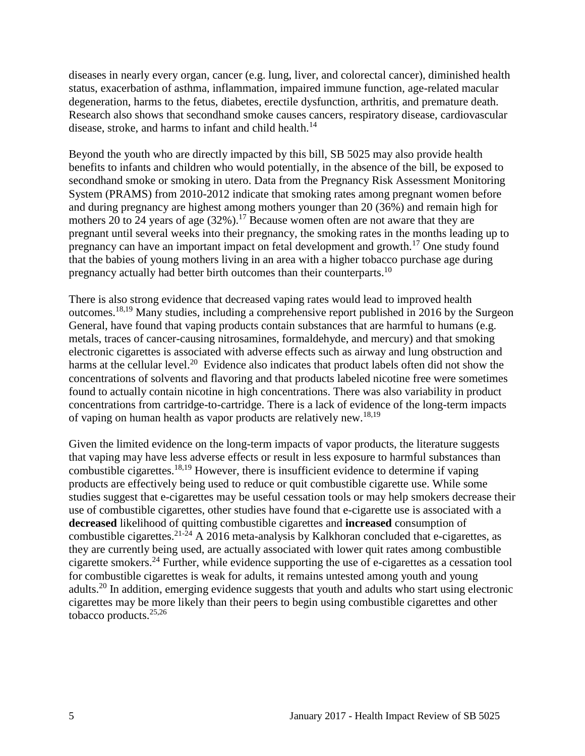diseases in nearly every organ, cancer (e.g. lung, liver, and colorectal cancer), diminished health status, exacerbation of asthma, inflammation, impaired immune function, age-related macular degeneration, harms to the fetus, diabetes, erectile dysfunction, arthritis, and premature death. Research also shows that secondhand smoke causes cancers, respiratory disease, cardiovascular disease, stroke, and harms to infant and child health.<sup>[14](#page-16-1)</sup>

Beyond the youth who are directly impacted by this bill, SB 5025 may also provide health benefits to infants and children who would potentially, in the absence of the bill, be exposed to secondhand smoke or smoking in utero. Data from the Pregnancy Risk Assessment Monitoring System (PRAMS) from 2010-2012 indicate that smoking rates among pregnant women before and during pregnancy are highest among mothers younger than 20 (36%) and remain high for mothers 20 to 24 years of age  $(32%)$ .<sup>[17](#page-18-1)</sup> Because women often are not aware that they are pregnant until several weeks into their pregnancy, the smoking rates in the months leading up to pregnancy can have an important impact on fetal development and growth.[17](#page-18-1) One study found that the babies of young mothers living in an area with a higher tobacco purchase age during pregnancy actually had better birth outcomes than their counterparts.<sup>[10](#page-15-0)</sup>

There is also strong evidence that decreased vaping rates would lead to improved health outcomes.[18](#page-19-0)[,19](#page-19-1) Many studies, including a comprehensive report published in 2016 by the Surgeon General, have found that vaping products contain substances that are harmful to humans (e.g. metals, traces of cancer-causing nitrosamines, formaldehyde, and mercury) and that smoking electronic cigarettes is associated with adverse effects such as airway and lung obstruction and harms at the cellular level.<sup>[20](#page-20-0)</sup> Evidence also indicates that product labels often did not show the concentrations of solvents and flavoring and that products labeled nicotine free were sometimes found to actually contain nicotine in high concentrations. There was also variability in product concentrations from cartridge-to-cartridge. There is a lack of evidence of the long-term impacts of vaping on human health as vapor products are relatively new.[18](#page-19-0)[,19](#page-19-1)

Given the limited evidence on the long-term impacts of vapor products, the literature suggests that vaping may have less adverse effects or result in less exposure to harmful substances than combustible cigarettes.<sup>[18,](#page-19-0)[19](#page-19-1)</sup> However, there is insufficient evidence to determine if vaping products are effectively being used to reduce or quit combustible cigarette use. While some studies suggest that e-cigarettes may be useful cessation tools or may help smokers decrease their use of combustible cigarettes, other studies have found that e-cigarette use is associated with a **decreased** likelihood of quitting combustible cigarettes and **increased** consumption of combustible cigarettes.<sup>[21-24](#page-20-1)</sup> A 2016 meta-analysis by Kalkhoran concluded that e-cigarettes, as they are currently being used, are actually associated with lower quit rates among combustible cigarette smokers.[24](#page-21-0) Further, while evidence supporting the use of e-cigarettes as a cessation tool for combustible cigarettes is weak for adults, it remains untested among youth and young adults.[20](#page-20-0) In addition, emerging evidence suggests that youth and adults who start using electronic cigarettes may be more likely than their peers to begin using combustible cigarettes and other tobacco products.[25,](#page-22-0)[26](#page-22-1)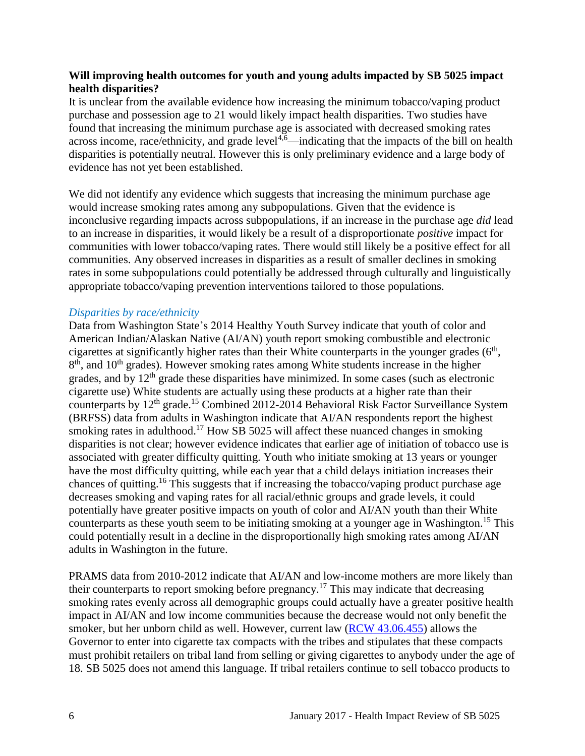#### **Will improving health outcomes for youth and young adults impacted by SB 5025 impact health disparities?**

It is unclear from the available evidence how increasing the minimum tobacco/vaping product purchase and possession age to 21 would likely impact health disparities. Two studies have found that increasing the minimum purchase age is associated with decreased smoking rates across income, race/ethnicity, and grade level<sup>[4](#page-11-0)[,6](#page-12-0)</sup>—indicating that the impacts of the bill on health disparities is potentially neutral. However this is only preliminary evidence and a large body of evidence has not yet been established.

We did not identify any evidence which suggests that increasing the minimum purchase age would increase smoking rates among any subpopulations. Given that the evidence is inconclusive regarding impacts across subpopulations, if an increase in the purchase age *did* lead to an increase in disparities, it would likely be a result of a disproportionate *positive* impact for communities with lower tobacco/vaping rates. There would still likely be a positive effect for all communities. Any observed increases in disparities as a result of smaller declines in smoking rates in some subpopulations could potentially be addressed through culturally and linguistically appropriate tobacco/vaping prevention interventions tailored to those populations.

#### *Disparities by race/ethnicity*

Data from Washington State's 2014 Healthy Youth Survey indicate that youth of color and American Indian/Alaskan Native (AI/AN) youth report smoking combustible and electronic cigarettes at significantly higher rates than their White counterparts in the younger grades  $(6<sup>th</sup>$ , 8<sup>th</sup>, and 10<sup>th</sup> grades). However smoking rates among White students increase in the higher grades, and by  $12<sup>th</sup>$  grade these disparities have minimized. In some cases (such as electronic cigarette use) White students are actually using these products at a higher rate than their counterparts by 12<sup>th</sup> grade.<sup>[15](#page-17-0)</sup> Combined 2012-2014 Behavioral Risk Factor Surveillance System (BRFSS) data from adults in Washington indicate that AI/AN respondents report the highest smoking rates in adulthood.<sup>[17](#page-18-1)</sup> How SB 5025 will affect these nuanced changes in smoking disparities is not clear; however evidence indicates that earlier age of initiation of tobacco use is associated with greater difficulty quitting. Youth who initiate smoking at 13 years or younger have the most difficulty quitting, while each year that a child delays initiation increases their chances of quitting.<sup>[16](#page-18-0)</sup> This suggests that if increasing the tobacco/vaping product purchase age decreases smoking and vaping rates for all racial/ethnic groups and grade levels, it could potentially have greater positive impacts on youth of color and AI/AN youth than their White counterparts as these youth seem to be initiating smoking at a younger age in Washington. [15](#page-17-0) This could potentially result in a decline in the disproportionally high smoking rates among AI/AN adults in Washington in the future.

PRAMS data from 2010-2012 indicate that AI/AN and low-income mothers are more likely than their counterparts to report smoking before pregnancy.<sup>[17](#page-18-1)</sup> This may indicate that decreasing smoking rates evenly across all demographic groups could actually have a greater positive health impact in AI/AN and low income communities because the decrease would not only benefit the smoker, but her unborn child as well. However, current law [\(RCW 43.06.455\)](http://apps.leg.wa.gov/rcw/default.aspx?cite=43.06.455) allows the Governor to enter into cigarette tax compacts with the tribes and stipulates that these compacts must prohibit retailers on tribal land from selling or giving cigarettes to anybody under the age of 18. SB 5025 does not amend this language. If tribal retailers continue to sell tobacco products to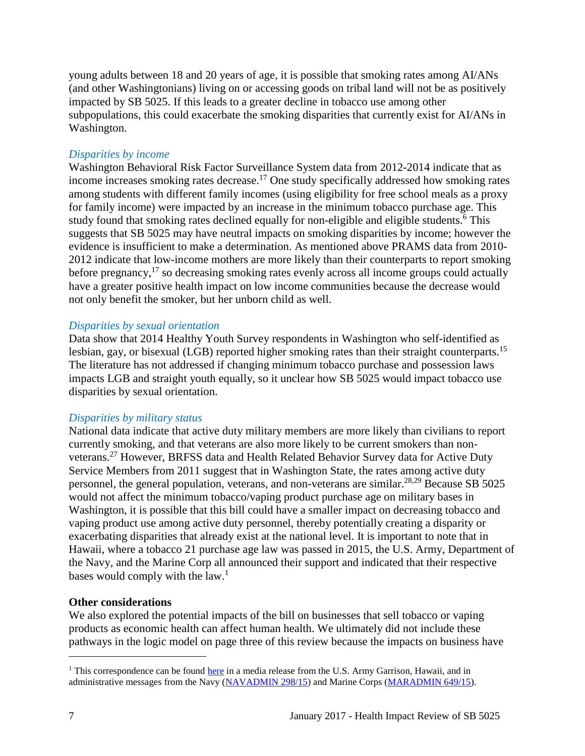young adults between 18 and 20 years of age, it is possible that smoking rates among AI/ANs (and other Washingtonians) living on or accessing goods on tribal land will not be as positively impacted by SB 5025. If this leads to a greater decline in tobacco use among other subpopulations, this could exacerbate the smoking disparities that currently exist for AI/ANs in Washington.

#### *Disparities by income*

Washington Behavioral Risk Factor Surveillance System data from 2012-2014 indicate that as income increases smoking rates decrease.<sup>[17](#page-18-1)</sup> One study specifically addressed how smoking rates among students with different family incomes (using eligibility for free school meals as a proxy for family income) were impacted by an increase in the minimum tobacco purchase age. This study found that smoking rates declined equally for non-eligible and eligible students[.](#page-12-0)<sup>6</sup> This suggests that SB 5025 may have neutral impacts on smoking disparities by income; however the evidence is insufficient to make a determination. As mentioned above PRAMS data from 2010- 2012 indicate that low-income mothers are more likely than their counterparts to report smoking before pregnancy,<sup>[17](#page-18-1)</sup> so decreasing smoking rates evenly across all income groups could actually have a greater positive health impact on low income communities because the decrease would not only benefit the smoker, but her unborn child as well.

#### *Disparities by sexual orientation*

Data show that 2014 Healthy Youth Survey respondents in Washington who self-identified as lesbian, gay, or bisexual (LGB) reported higher smoking rates than their straight counterparts.<sup>[15](#page-17-0)</sup> The literature has not addressed if changing minimum tobacco purchase and possession laws impacts LGB and straight youth equally, so it unclear how SB 5025 would impact tobacco use disparities by sexual orientation.

#### *Disparities by military status*

National data indicate that active duty military members are more likely than civilians to report currently smoking, and that veterans are also more likely to be current smokers than nonveterans.[27](#page-22-2) However, BRFSS data and Health Related Behavior Survey data for Active Duty Service Members from 2011 suggest that in Washington State, the rates among active duty personnel, the general population, veterans, and non-veterans are similar.[28](#page-23-0)[,29](#page-23-1) Because SB 5025 would not affect the minimum tobacco/vaping product purchase age on military bases in Washington, it is possible that this bill could have a smaller impact on decreasing tobacco and vaping product use among active duty personnel, thereby potentially creating a disparity or exacerbating disparities that already exist at the national level. It is important to note that in Hawaii, where a tobacco 21 purchase age law was passed in 2015, the U.S. Army, Department of the Navy, and the Marine Corp all announced their support and indicated that their respective bases would comply with the law.<sup>1</sup>

#### **Other considerations**

We also explored the potential impacts of the bill on businesses that sell tobacco or vaping products as economic health can affect human health. We ultimately did not include these pathways in the logic model on page three of this review because the impacts on business have

l

 $1$ <sup>1</sup> This correspondence can be found [here](https://www.garrison.hawaii.army.mil/pao/mr2015/MR_2015-12-02_ArmyToComplyWithStateSmokingLaw_FINAL.pdfhttps:/www.garrison.hawaii.army.mil/pao/mr2015/MR_2015-12-02_ArmyToComplyWithStateSmokingLaw_FINAL.pdf) in a media release from the U.S. Army Garrison, Hawaii, and in administrative messages from the Navy [\(NAVADMIN 298/15\)](https://www.navyreserve.navy.mil/Documents/Hot%20Topics%20Holding%20Folder/NAVADMIN%20298_15%20NOTICE%20OF%20HAWAII%20RAISING%20SMOKING%20AGE%20TO%2021%20EFFECTIVE%201%20JAN%2016.pdf) and Marine Corps [\(MARADMIN 649/15\)](http://www.marines.mil/mobile_noteused/MARADMINS/View/Article/175678/notice-of-hawaii-raising-smoking-age-to-21-effective-1-january-2016/).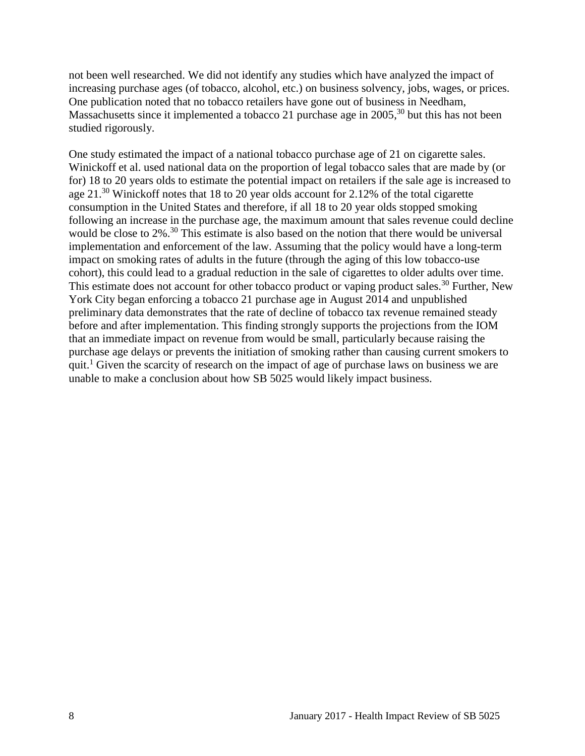not been well researched. We did not identify any studies which have analyzed the impact of increasing purchase ages (of tobacco, alcohol, etc.) on business solvency, jobs, wages, or prices. One publication noted that no tobacco retailers have gone out of business in Needham, Massachusetts since it implemented a tobacco 21 purchase age in 2005,<sup>[30](#page-23-2)</sup> but this has not been studied rigorously.

One study estimated the impact of a national tobacco purchase age of 21 on cigarette sales. Winickoff et al. used national data on the proportion of legal tobacco sales that are made by (or for) 18 to 20 years olds to estimate the potential impact on retailers if the sale age is increased to age 21.<sup>[30](#page-23-2)</sup> Winickoff notes that 18 to 20 year olds account for 2.12% of the total cigarette consumption in the United States and therefore, if all 18 to 20 year olds stopped smoking following an increase in the purchase age, the maximum amount that sales revenue could decline would be close to 2%.<sup>[30](#page-23-2)</sup> This estimate is also based on the notion that there would be universal implementation and enforcement of the law. Assuming that the policy would have a long-term impact on smoking rates of adults in the future (through the aging of this low tobacco-use cohort), this could lead to a gradual reduction in the sale of cigarettes to older adults over time. This estimate does not account for other tobacco product or vaping product sales.<sup>[30](#page-23-2)</sup> Further, New York City began enforcing a tobacco 21 purchase age in August 2014 and unpublished preliminary data demonstrates that the rate of decline of tobacco tax revenue remained steady before and after implementation. This finding strongly supports the projections from the IOM that an immediate impact on revenue from would be small, particularly because raising the purchase age delays or prevents the initiation of smoking rather than causing current smokers to quit.<sup>1</sup> Given the scarcity of research on the impact of age of purchase laws on business we are unable to make a conclusion about how SB 5025 would likely impact business.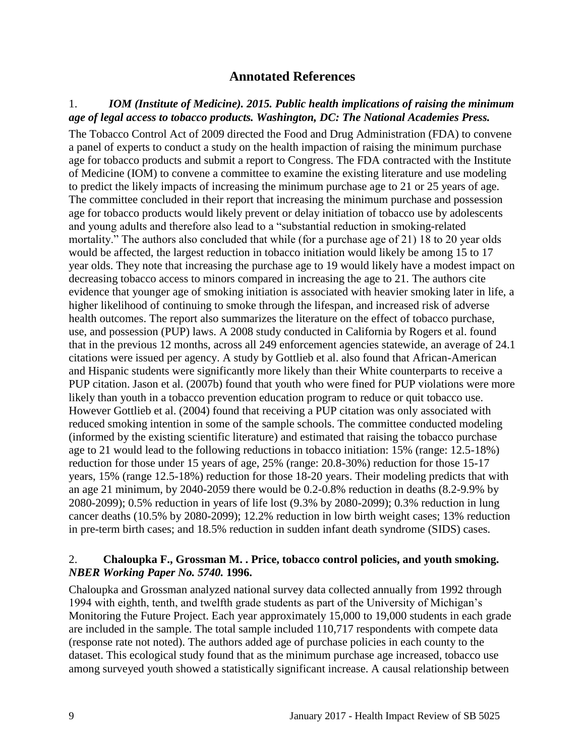# **Annotated References**

#### <span id="page-10-1"></span><span id="page-10-0"></span>1.*IOM (Institute of Medicine). 2015. Public health implications of raising the minimum age of legal access to tobacco products. Washington, DC: The National Academies Press.*

The Tobacco Control Act of 2009 directed the Food and Drug Administration (FDA) to convene a panel of experts to conduct a study on the health impaction of raising the minimum purchase age for tobacco products and submit a report to Congress. The FDA contracted with the Institute of Medicine (IOM) to convene a committee to examine the existing literature and use modeling to predict the likely impacts of increasing the minimum purchase age to 21 or 25 years of age. The committee concluded in their report that increasing the minimum purchase and possession age for tobacco products would likely prevent or delay initiation of tobacco use by adolescents and young adults and therefore also lead to a "substantial reduction in smoking-related mortality." The authors also concluded that while (for a purchase age of 21) 18 to 20 year olds would be affected, the largest reduction in tobacco initiation would likely be among 15 to 17 year olds. They note that increasing the purchase age to 19 would likely have a modest impact on decreasing tobacco access to minors compared in increasing the age to 21. The authors cite evidence that younger age of smoking initiation is associated with heavier smoking later in life, a higher likelihood of continuing to smoke through the lifespan, and increased risk of adverse health outcomes. The report also summarizes the literature on the effect of tobacco purchase, use, and possession (PUP) laws. A 2008 study conducted in California by Rogers et al. found that in the previous 12 months, across all 249 enforcement agencies statewide, an average of 24.1 citations were issued per agency. A study by Gottlieb et al. also found that African-American and Hispanic students were significantly more likely than their White counterparts to receive a PUP citation. Jason et al. (2007b) found that youth who were fined for PUP violations were more likely than youth in a tobacco prevention education program to reduce or quit tobacco use. However Gottlieb et al. (2004) found that receiving a PUP citation was only associated with reduced smoking intention in some of the sample schools. The committee conducted modeling (informed by the existing scientific literature) and estimated that raising the tobacco purchase age to 21 would lead to the following reductions in tobacco initiation: 15% (range: 12.5-18%) reduction for those under 15 years of age, 25% (range: 20.8-30%) reduction for those 15-17 years, 15% (range 12.5-18%) reduction for those 18-20 years. Their modeling predicts that with an age 21 minimum, by 2040-2059 there would be 0.2-0.8% reduction in deaths (8.2-9.9% by 2080-2099); 0.5% reduction in years of life lost (9.3% by 2080-2099); 0.3% reduction in lung cancer deaths (10.5% by 2080-2099); 12.2% reduction in low birth weight cases; 13% reduction in pre-term birth cases; and 18.5% reduction in sudden infant death syndrome (SIDS) cases.

#### 2. **Chaloupka F., Grossman M. . Price, tobacco control policies, and youth smoking.**  *NBER Working Paper No. 5740.* **1996.**

Chaloupka and Grossman analyzed national survey data collected annually from 1992 through 1994 with eighth, tenth, and twelfth grade students as part of the University of Michigan's Monitoring the Future Project. Each year approximately 15,000 to 19,000 students in each grade are included in the sample. The total sample included 110,717 respondents with compete data (response rate not noted). The authors added age of purchase policies in each county to the dataset. This ecological study found that as the minimum purchase age increased, tobacco use among surveyed youth showed a statistically significant increase. A causal relationship between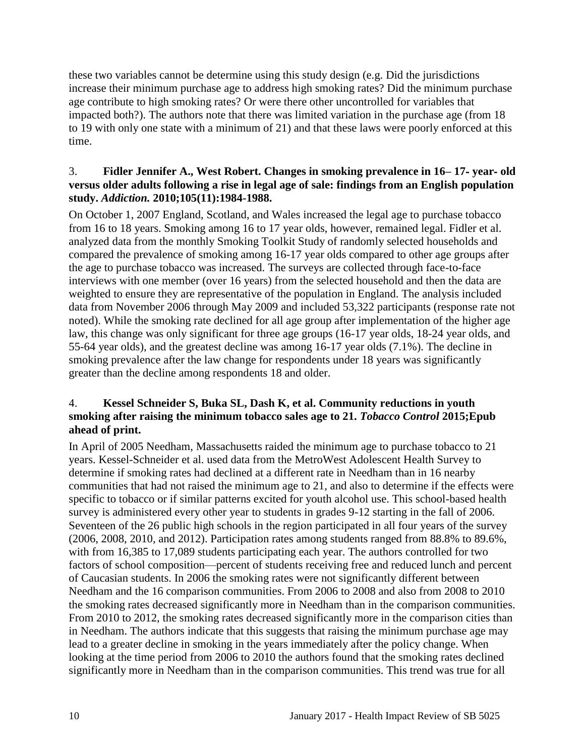these two variables cannot be determine using this study design (e.g. Did the jurisdictions increase their minimum purchase age to address high smoking rates? Did the minimum purchase age contribute to high smoking rates? Or were there other uncontrolled for variables that impacted both?). The authors note that there was limited variation in the purchase age (from 18 to 19 with only one state with a minimum of 21) and that these laws were poorly enforced at this time.

#### 3. **Fidler Jennifer A., West Robert. Changes in smoking prevalence in 16– 17**‐ **year**‐ **old versus older adults following a rise in legal age of sale: findings from an English population study.** *Addiction.* **2010;105(11):1984-1988.**

On October 1, 2007 England, Scotland, and Wales increased the legal age to purchase tobacco from 16 to 18 years. Smoking among 16 to 17 year olds, however, remained legal. Fidler et al. analyzed data from the monthly Smoking Toolkit Study of randomly selected households and compared the prevalence of smoking among 16-17 year olds compared to other age groups after the age to purchase tobacco was increased. The surveys are collected through face-to-face interviews with one member (over 16 years) from the selected household and then the data are weighted to ensure they are representative of the population in England. The analysis included data from November 2006 through May 2009 and included 53,322 participants (response rate not noted). While the smoking rate declined for all age group after implementation of the higher age law, this change was only significant for three age groups (16-17 year olds, 18-24 year olds, and 55-64 year olds), and the greatest decline was among 16-17 year olds (7.1%). The decline in smoking prevalence after the law change for respondents under 18 years was significantly greater than the decline among respondents 18 and older.

# <span id="page-11-0"></span>4. **Kessel Schneider S, Buka SL, Dash K, et al. Community reductions in youth smoking after raising the minimum tobacco sales age to 21.** *Tobacco Control* **2015;Epub ahead of print.**

In April of 2005 Needham, Massachusetts raided the minimum age to purchase tobacco to 21 years. Kessel-Schneider et al. used data from the MetroWest Adolescent Health Survey to determine if smoking rates had declined at a different rate in Needham than in 16 nearby communities that had not raised the minimum age to 21, and also to determine if the effects were specific to tobacco or if similar patterns excited for youth alcohol use. This school-based health survey is administered every other year to students in grades 9-12 starting in the fall of 2006. Seventeen of the 26 public high schools in the region participated in all four years of the survey (2006, 2008, 2010, and 2012). Participation rates among students ranged from 88.8% to 89.6%, with from 16,385 to 17,089 students participating each year. The authors controlled for two factors of school composition—percent of students receiving free and reduced lunch and percent of Caucasian students. In 2006 the smoking rates were not significantly different between Needham and the 16 comparison communities. From 2006 to 2008 and also from 2008 to 2010 the smoking rates decreased significantly more in Needham than in the comparison communities. From 2010 to 2012, the smoking rates decreased significantly more in the comparison cities than in Needham. The authors indicate that this suggests that raising the minimum purchase age may lead to a greater decline in smoking in the years immediately after the policy change. When looking at the time period from 2006 to 2010 the authors found that the smoking rates declined significantly more in Needham than in the comparison communities. This trend was true for all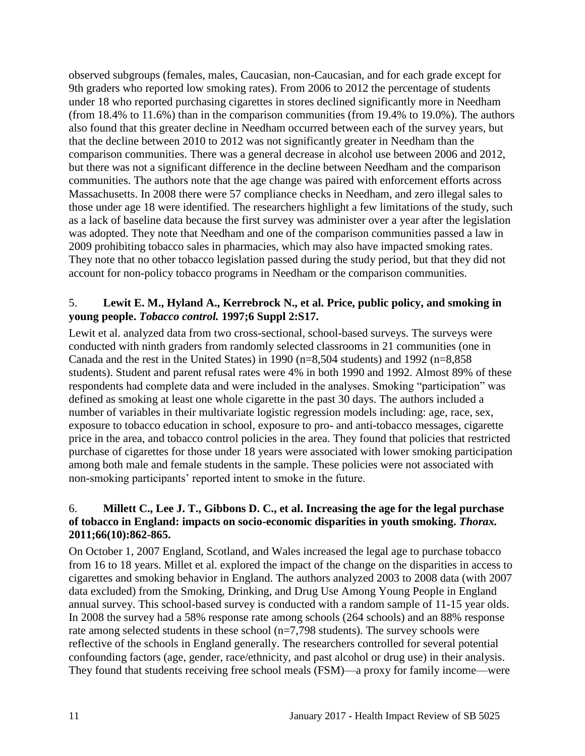observed subgroups (females, males, Caucasian, non-Caucasian, and for each grade except for 9th graders who reported low smoking rates). From 2006 to 2012 the percentage of students under 18 who reported purchasing cigarettes in stores declined significantly more in Needham (from 18.4% to 11.6%) than in the comparison communities (from 19.4% to 19.0%). The authors also found that this greater decline in Needham occurred between each of the survey years, but that the decline between 2010 to 2012 was not significantly greater in Needham than the comparison communities. There was a general decrease in alcohol use between 2006 and 2012, but there was not a significant difference in the decline between Needham and the comparison communities. The authors note that the age change was paired with enforcement efforts across Massachusetts. In 2008 there were 57 compliance checks in Needham, and zero illegal sales to those under age 18 were identified. The researchers highlight a few limitations of the study, such as a lack of baseline data because the first survey was administer over a year after the legislation was adopted. They note that Needham and one of the comparison communities passed a law in 2009 prohibiting tobacco sales in pharmacies, which may also have impacted smoking rates. They note that no other tobacco legislation passed during the study period, but that they did not account for non-policy tobacco programs in Needham or the comparison communities.

#### 5. **Lewit E. M., Hyland A., Kerrebrock N., et al. Price, public policy, and smoking in young people.** *Tobacco control.* **1997;6 Suppl 2:S17.**

Lewit et al. analyzed data from two cross-sectional, school-based surveys. The surveys were conducted with ninth graders from randomly selected classrooms in 21 communities (one in Canada and the rest in the United States) in 1990 ( $n=8,504$  students) and 1992 ( $n=8,858$ students). Student and parent refusal rates were 4% in both 1990 and 1992. Almost 89% of these respondents had complete data and were included in the analyses. Smoking "participation" was defined as smoking at least one whole cigarette in the past 30 days. The authors included a number of variables in their multivariate logistic regression models including: age, race, sex, exposure to tobacco education in school, exposure to pro- and anti-tobacco messages, cigarette price in the area, and tobacco control policies in the area. They found that policies that restricted purchase of cigarettes for those under 18 years were associated with lower smoking participation among both male and female students in the sample. These policies were not associated with non-smoking participants' reported intent to smoke in the future.

# <span id="page-12-0"></span>6. **Millett C., Lee J. T., Gibbons D. C., et al. Increasing the age for the legal purchase of tobacco in England: impacts on socio-economic disparities in youth smoking.** *Thorax.*  **2011;66(10):862-865.**

On October 1, 2007 England, Scotland, and Wales increased the legal age to purchase tobacco from 16 to 18 years. Millet et al. explored the impact of the change on the disparities in access to cigarettes and smoking behavior in England. The authors analyzed 2003 to 2008 data (with 2007 data excluded) from the Smoking, Drinking, and Drug Use Among Young People in England annual survey. This school-based survey is conducted with a random sample of 11-15 year olds. In 2008 the survey had a 58% response rate among schools (264 schools) and an 88% response rate among selected students in these school (n=7,798 students). The survey schools were reflective of the schools in England generally. The researchers controlled for several potential confounding factors (age, gender, race/ethnicity, and past alcohol or drug use) in their analysis. They found that students receiving free school meals (FSM)—a proxy for family income—were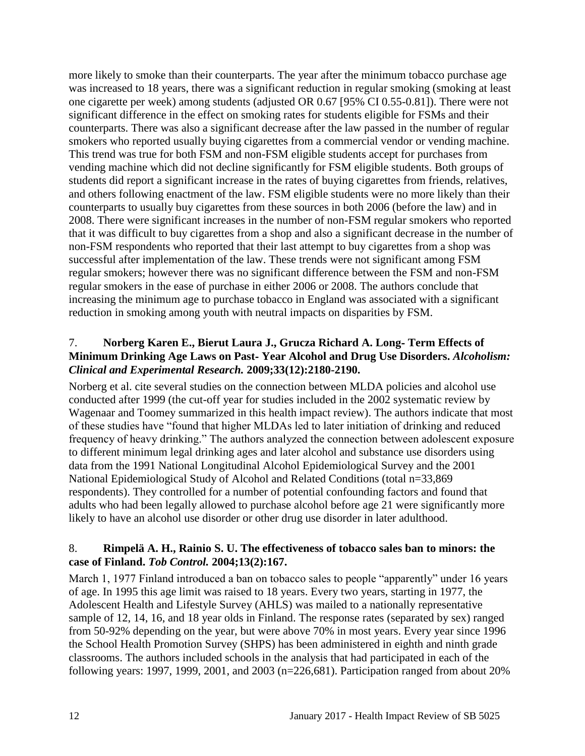more likely to smoke than their counterparts. The year after the minimum tobacco purchase age was increased to 18 years, there was a significant reduction in regular smoking (smoking at least one cigarette per week) among students (adjusted OR 0.67 [95% CI 0.55-0.81]). There were not significant difference in the effect on smoking rates for students eligible for FSMs and their counterparts. There was also a significant decrease after the law passed in the number of regular smokers who reported usually buying cigarettes from a commercial vendor or vending machine. This trend was true for both FSM and non-FSM eligible students accept for purchases from vending machine which did not decline significantly for FSM eligible students. Both groups of students did report a significant increase in the rates of buying cigarettes from friends, relatives, and others following enactment of the law. FSM eligible students were no more likely than their counterparts to usually buy cigarettes from these sources in both 2006 (before the law) and in 2008. There were significant increases in the number of non-FSM regular smokers who reported that it was difficult to buy cigarettes from a shop and also a significant decrease in the number of non-FSM respondents who reported that their last attempt to buy cigarettes from a shop was successful after implementation of the law. These trends were not significant among FSM regular smokers; however there was no significant difference between the FSM and non-FSM regular smokers in the ease of purchase in either 2006 or 2008. The authors conclude that increasing the minimum age to purchase tobacco in England was associated with a significant reduction in smoking among youth with neutral impacts on disparities by FSM.

# <span id="page-13-1"></span>7. **Norberg Karen E., Bierut Laura J., Grucza Richard A. Long**‐ **Term Effects of Minimum Drinking Age Laws on Past**‐ **Year Alcohol and Drug Use Disorders.** *Alcoholism: Clinical and Experimental Research.* **2009;33(12):2180-2190.**

Norberg et al. cite several studies on the connection between MLDA policies and alcohol use conducted after 1999 (the cut-off year for studies included in the 2002 systematic review by Wagenaar and Toomey summarized in this health impact review). The authors indicate that most of these studies have "found that higher MLDAs led to later initiation of drinking and reduced frequency of heavy drinking." The authors analyzed the connection between adolescent exposure to different minimum legal drinking ages and later alcohol and substance use disorders using data from the 1991 National Longitudinal Alcohol Epidemiological Survey and the 2001 National Epidemiological Study of Alcohol and Related Conditions (total n=33,869 respondents). They controlled for a number of potential confounding factors and found that adults who had been legally allowed to purchase alcohol before age 21 were significantly more likely to have an alcohol use disorder or other drug use disorder in later adulthood.

# <span id="page-13-0"></span>8. **Rimpelä A. H., Rainio S. U. The effectiveness of tobacco sales ban to minors: the case of Finland.** *Tob Control.* **2004;13(2):167.**

March 1, 1977 Finland introduced a ban on tobacco sales to people "apparently" under 16 years of age. In 1995 this age limit was raised to 18 years. Every two years, starting in 1977, the Adolescent Health and Lifestyle Survey (AHLS) was mailed to a nationally representative sample of 12, 14, 16, and 18 year olds in Finland. The response rates (separated by sex) ranged from 50-92% depending on the year, but were above 70% in most years. Every year since 1996 the School Health Promotion Survey (SHPS) has been administered in eighth and ninth grade classrooms. The authors included schools in the analysis that had participated in each of the following years: 1997, 1999, 2001, and 2003 (n=226,681). Participation ranged from about 20%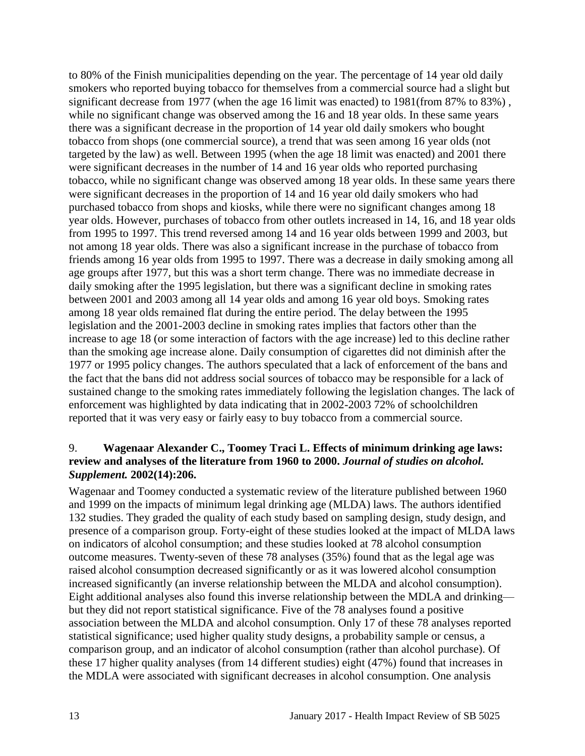to 80% of the Finish municipalities depending on the year. The percentage of 14 year old daily smokers who reported buying tobacco for themselves from a commercial source had a slight but significant decrease from 1977 (when the age 16 limit was enacted) to 1981(from 87% to 83%) , while no significant change was observed among the 16 and 18 year olds. In these same years there was a significant decrease in the proportion of 14 year old daily smokers who bought tobacco from shops (one commercial source), a trend that was seen among 16 year olds (not targeted by the law) as well. Between 1995 (when the age 18 limit was enacted) and 2001 there were significant decreases in the number of 14 and 16 year olds who reported purchasing tobacco, while no significant change was observed among 18 year olds. In these same years there were significant decreases in the proportion of 14 and 16 year old daily smokers who had purchased tobacco from shops and kiosks, while there were no significant changes among 18 year olds. However, purchases of tobacco from other outlets increased in 14, 16, and 18 year olds from 1995 to 1997. This trend reversed among 14 and 16 year olds between 1999 and 2003, but not among 18 year olds. There was also a significant increase in the purchase of tobacco from friends among 16 year olds from 1995 to 1997. There was a decrease in daily smoking among all age groups after 1977, but this was a short term change. There was no immediate decrease in daily smoking after the 1995 legislation, but there was a significant decline in smoking rates between 2001 and 2003 among all 14 year olds and among 16 year old boys. Smoking rates among 18 year olds remained flat during the entire period. The delay between the 1995 legislation and the 2001-2003 decline in smoking rates implies that factors other than the increase to age 18 (or some interaction of factors with the age increase) led to this decline rather than the smoking age increase alone. Daily consumption of cigarettes did not diminish after the 1977 or 1995 policy changes. The authors speculated that a lack of enforcement of the bans and the fact that the bans did not address social sources of tobacco may be responsible for a lack of sustained change to the smoking rates immediately following the legislation changes. The lack of enforcement was highlighted by data indicating that in 2002-2003 72% of schoolchildren reported that it was very easy or fairly easy to buy tobacco from a commercial source.

#### <span id="page-14-0"></span>9. **Wagenaar Alexander C., Toomey Traci L. Effects of minimum drinking age laws: review and analyses of the literature from 1960 to 2000.** *Journal of studies on alcohol. Supplement.* **2002(14):206.**

Wagenaar and Toomey conducted a systematic review of the literature published between 1960 and 1999 on the impacts of minimum legal drinking age (MLDA) laws. The authors identified 132 studies. They graded the quality of each study based on sampling design, study design, and presence of a comparison group. Forty-eight of these studies looked at the impact of MLDA laws on indicators of alcohol consumption; and these studies looked at 78 alcohol consumption outcome measures. Twenty-seven of these 78 analyses (35%) found that as the legal age was raised alcohol consumption decreased significantly or as it was lowered alcohol consumption increased significantly (an inverse relationship between the MLDA and alcohol consumption). Eight additional analyses also found this inverse relationship between the MDLA and drinking but they did not report statistical significance. Five of the 78 analyses found a positive association between the MLDA and alcohol consumption. Only 17 of these 78 analyses reported statistical significance; used higher quality study designs, a probability sample or census, a comparison group, and an indicator of alcohol consumption (rather than alcohol purchase). Of these 17 higher quality analyses (from 14 different studies) eight (47%) found that increases in the MDLA were associated with significant decreases in alcohol consumption. One analysis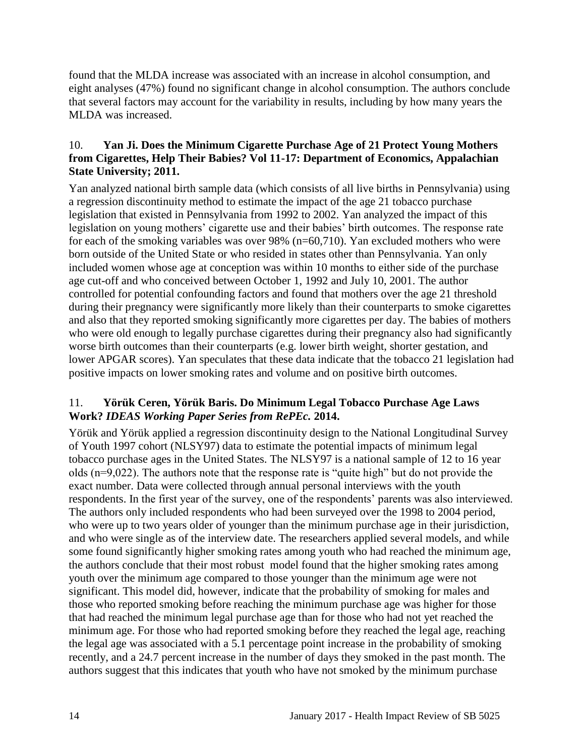found that the MLDA increase was associated with an increase in alcohol consumption, and eight analyses (47%) found no significant change in alcohol consumption. The authors conclude that several factors may account for the variability in results, including by how many years the MLDA was increased.

# <span id="page-15-0"></span>10. **Yan Ji. Does the Minimum Cigarette Purchase Age of 21 Protect Young Mothers from Cigarettes, Help Their Babies? Vol 11-17: Department of Economics, Appalachian State University; 2011.**

Yan analyzed national birth sample data (which consists of all live births in Pennsylvania) using a regression discontinuity method to estimate the impact of the age 21 tobacco purchase legislation that existed in Pennsylvania from 1992 to 2002. Yan analyzed the impact of this legislation on young mothers' cigarette use and their babies' birth outcomes. The response rate for each of the smoking variables was over 98% (n=60,710). Yan excluded mothers who were born outside of the United State or who resided in states other than Pennsylvania. Yan only included women whose age at conception was within 10 months to either side of the purchase age cut-off and who conceived between October 1, 1992 and July 10, 2001. The author controlled for potential confounding factors and found that mothers over the age 21 threshold during their pregnancy were significantly more likely than their counterparts to smoke cigarettes and also that they reported smoking significantly more cigarettes per day. The babies of mothers who were old enough to legally purchase cigarettes during their pregnancy also had significantly worse birth outcomes than their counterparts (e.g. lower birth weight, shorter gestation, and lower APGAR scores). Yan speculates that these data indicate that the tobacco 21 legislation had positive impacts on lower smoking rates and volume and on positive birth outcomes.

# <span id="page-15-1"></span>11. **Yörük Ceren, Yörük Baris. Do Minimum Legal Tobacco Purchase Age Laws Work?** *IDEAS Working Paper Series from RePEc.* **2014.**

Yörük and Yörük applied a regression discontinuity design to the National Longitudinal Survey of Youth 1997 cohort (NLSY97) data to estimate the potential impacts of minimum legal tobacco purchase ages in the United States. The NLSY97 is a national sample of 12 to 16 year olds (n=9,022). The authors note that the response rate is "quite high" but do not provide the exact number. Data were collected through annual personal interviews with the youth respondents. In the first year of the survey, one of the respondents' parents was also interviewed. The authors only included respondents who had been surveyed over the 1998 to 2004 period, who were up to two years older of younger than the minimum purchase age in their jurisdiction, and who were single as of the interview date. The researchers applied several models, and while some found significantly higher smoking rates among youth who had reached the minimum age, the authors conclude that their most robust model found that the higher smoking rates among youth over the minimum age compared to those younger than the minimum age were not significant. This model did, however, indicate that the probability of smoking for males and those who reported smoking before reaching the minimum purchase age was higher for those that had reached the minimum legal purchase age than for those who had not yet reached the minimum age. For those who had reported smoking before they reached the legal age, reaching the legal age was associated with a 5.1 percentage point increase in the probability of smoking recently, and a 24.7 percent increase in the number of days they smoked in the past month. The authors suggest that this indicates that youth who have not smoked by the minimum purchase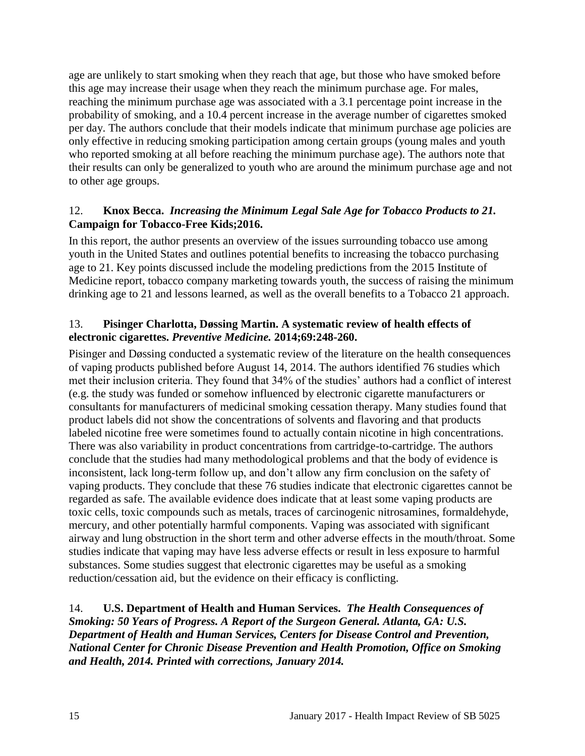age are unlikely to start smoking when they reach that age, but those who have smoked before this age may increase their usage when they reach the minimum purchase age. For males, reaching the minimum purchase age was associated with a 3.1 percentage point increase in the probability of smoking, and a 10.4 percent increase in the average number of cigarettes smoked per day. The authors conclude that their models indicate that minimum purchase age policies are only effective in reducing smoking participation among certain groups (young males and youth who reported smoking at all before reaching the minimum purchase age). The authors note that their results can only be generalized to youth who are around the minimum purchase age and not to other age groups.

#### <span id="page-16-2"></span>12. **Knox Becca.** *Increasing the Minimum Legal Sale Age for Tobacco Products to 21.* **Campaign for Tobacco-Free Kids;2016.**

In this report, the author presents an overview of the issues surrounding tobacco use among youth in the United States and outlines potential benefits to increasing the tobacco purchasing age to 21. Key points discussed include the modeling predictions from the 2015 Institute of Medicine report, tobacco company marketing towards youth, the success of raising the minimum drinking age to 21 and lessons learned, as well as the overall benefits to a Tobacco 21 approach.

#### <span id="page-16-0"></span>13. **Pisinger Charlotta, Døssing Martin. A systematic review of health effects of electronic cigarettes.** *Preventive Medicine.* **2014;69:248-260.**

Pisinger and Døssing conducted a systematic review of the literature on the health consequences of vaping products published before August 14, 2014. The authors identified 76 studies which met their inclusion criteria. They found that 34% of the studies' authors had a conflict of interest (e.g. the study was funded or somehow influenced by electronic cigarette manufacturers or consultants for manufacturers of medicinal smoking cessation therapy. Many studies found that product labels did not show the concentrations of solvents and flavoring and that products labeled nicotine free were sometimes found to actually contain nicotine in high concentrations. There was also variability in product concentrations from cartridge-to-cartridge. The authors conclude that the studies had many methodological problems and that the body of evidence is inconsistent, lack long-term follow up, and don't allow any firm conclusion on the safety of vaping products. They conclude that these 76 studies indicate that electronic cigarettes cannot be regarded as safe. The available evidence does indicate that at least some vaping products are toxic cells, toxic compounds such as metals, traces of carcinogenic nitrosamines, formaldehyde, mercury, and other potentially harmful components. Vaping was associated with significant airway and lung obstruction in the short term and other adverse effects in the mouth/throat. Some studies indicate that vaping may have less adverse effects or result in less exposure to harmful substances. Some studies suggest that electronic cigarettes may be useful as a smoking reduction/cessation aid, but the evidence on their efficacy is conflicting.

#### <span id="page-16-1"></span>14. **U.S. Department of Health and Human Services.** *The Health Consequences of Smoking: 50 Years of Progress. A Report of the Surgeon General. Atlanta, GA: U.S. Department of Health and Human Services, Centers for Disease Control and Prevention, National Center for Chronic Disease Prevention and Health Promotion, Office on Smoking and Health, 2014. Printed with corrections, January 2014.*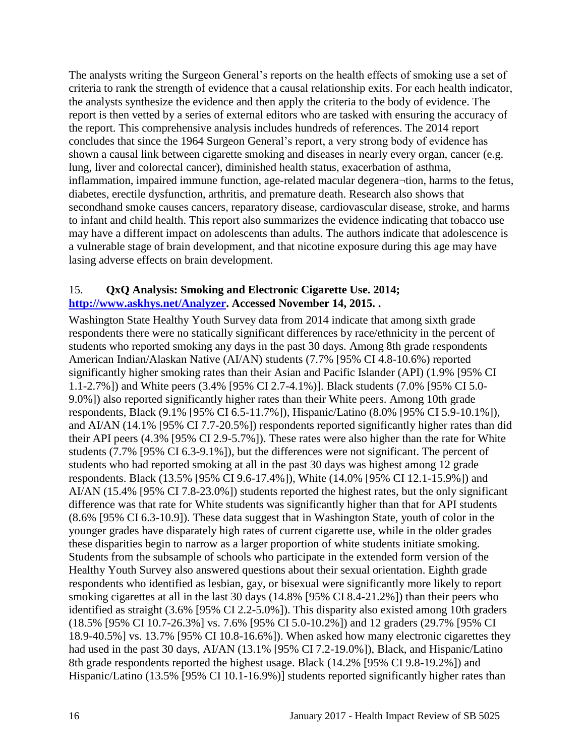The analysts writing the Surgeon General's reports on the health effects of smoking use a set of criteria to rank the strength of evidence that a causal relationship exits. For each health indicator, the analysts synthesize the evidence and then apply the criteria to the body of evidence. The report is then vetted by a series of external editors who are tasked with ensuring the accuracy of the report. This comprehensive analysis includes hundreds of references. The 2014 report concludes that since the 1964 Surgeon General's report, a very strong body of evidence has shown a causal link between cigarette smoking and diseases in nearly every organ, cancer (e.g. lung, liver and colorectal cancer), diminished health status, exacerbation of asthma, inflammation, impaired immune function, age-related macular degenera¬tion, harms to the fetus, diabetes, erectile dysfunction, arthritis, and premature death. Research also shows that secondhand smoke causes cancers, reparatory disease, cardiovascular disease, stroke, and harms to infant and child health. This report also summarizes the evidence indicating that tobacco use may have a different impact on adolescents than adults. The authors indicate that adolescence is a vulnerable stage of brain development, and that nicotine exposure during this age may have lasing adverse effects on brain development.

#### <span id="page-17-0"></span>15. **QxQ Analysis: Smoking and Electronic Cigarette Use. 2014; [http://www.askhys.net/Analyzer.](http://www.askhys.net/Analyzer) Accessed November 14, 2015. .**

Washington State Healthy Youth Survey data from 2014 indicate that among sixth grade respondents there were no statically significant differences by race/ethnicity in the percent of students who reported smoking any days in the past 30 days. Among 8th grade respondents American Indian/Alaskan Native (AI/AN) students (7.7% [95% CI 4.8-10.6%) reported significantly higher smoking rates than their Asian and Pacific Islander (API) (1.9% [95% CI 1.1-2.7%]) and White peers (3.4% [95% CI 2.7-4.1%)]. Black students (7.0% [95% CI 5.0- 9.0%]) also reported significantly higher rates than their White peers. Among 10th grade respondents, Black (9.1% [95% CI 6.5-11.7%]), Hispanic/Latino (8.0% [95% CI 5.9-10.1%]), and AI/AN (14.1% [95% CI 7.7-20.5%]) respondents reported significantly higher rates than did their API peers (4.3% [95% CI 2.9-5.7%]). These rates were also higher than the rate for White students (7.7% [95% CI 6.3-9.1%]), but the differences were not significant. The percent of students who had reported smoking at all in the past 30 days was highest among 12 grade respondents. Black (13.5% [95% CI 9.6-17.4%]), White (14.0% [95% CI 12.1-15.9%]) and AI/AN (15.4% [95% CI 7.8-23.0%]) students reported the highest rates, but the only significant difference was that rate for White students was significantly higher than that for API students (8.6% [95% CI 6.3-10.9]). These data suggest that in Washington State, youth of color in the younger grades have disparately high rates of current cigarette use, while in the older grades these disparities begin to narrow as a larger proportion of white students initiate smoking. Students from the subsample of schools who participate in the extended form version of the Healthy Youth Survey also answered questions about their sexual orientation. Eighth grade respondents who identified as lesbian, gay, or bisexual were significantly more likely to report smoking cigarettes at all in the last 30 days (14.8% [95% CI 8.4-21.2%]) than their peers who identified as straight (3.6% [95% CI 2.2-5.0%]). This disparity also existed among 10th graders (18.5% [95% CI 10.7-26.3%] vs. 7.6% [95% CI 5.0-10.2%]) and 12 graders (29.7% [95% CI 18.9-40.5%] vs. 13.7% [95% CI 10.8-16.6%]). When asked how many electronic cigarettes they had used in the past 30 days, AI/AN (13.1% [95% CI 7.2-19.0%]), Black, and Hispanic/Latino 8th grade respondents reported the highest usage. Black (14.2% [95% CI 9.8-19.2%]) and Hispanic/Latino (13.5% [95% CI 10.1-16.9%)] students reported significantly higher rates than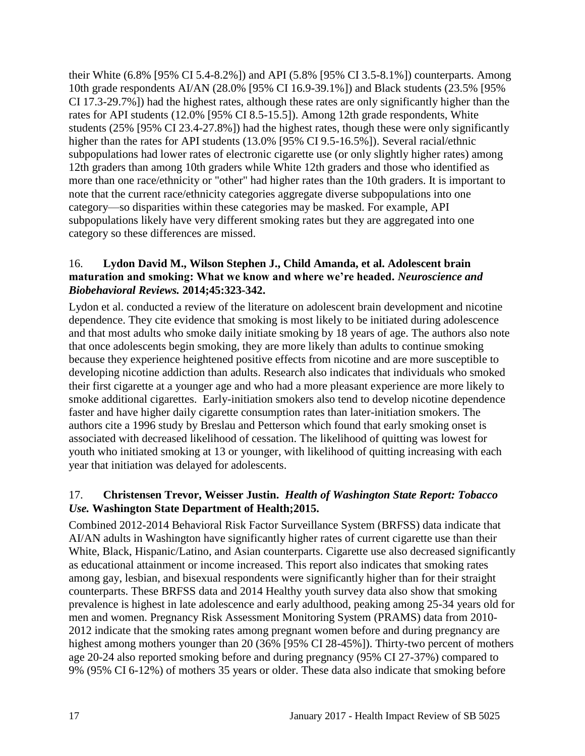their White (6.8% [95% CI 5.4-8.2%]) and API (5.8% [95% CI 3.5-8.1%]) counterparts. Among 10th grade respondents AI/AN (28.0% [95% CI 16.9-39.1%]) and Black students (23.5% [95% CI 17.3-29.7%]) had the highest rates, although these rates are only significantly higher than the rates for API students (12.0% [95% CI 8.5-15.5]). Among 12th grade respondents, White students (25% [95% CI 23.4-27.8%]) had the highest rates, though these were only significantly higher than the rates for API students (13.0% [95% CI 9.5-16.5%]). Several racial/ethnic subpopulations had lower rates of electronic cigarette use (or only slightly higher rates) among 12th graders than among 10th graders while White 12th graders and those who identified as more than one race/ethnicity or "other" had higher rates than the 10th graders. It is important to note that the current race/ethnicity categories aggregate diverse subpopulations into one category—so disparities within these categories may be masked. For example, API subpopulations likely have very different smoking rates but they are aggregated into one category so these differences are missed.

# <span id="page-18-0"></span>16. **Lydon David M., Wilson Stephen J., Child Amanda, et al. Adolescent brain maturation and smoking: What we know and where we're headed.** *Neuroscience and Biobehavioral Reviews.* **2014;45:323-342.**

Lydon et al. conducted a review of the literature on adolescent brain development and nicotine dependence. They cite evidence that smoking is most likely to be initiated during adolescence and that most adults who smoke daily initiate smoking by 18 years of age. The authors also note that once adolescents begin smoking, they are more likely than adults to continue smoking because they experience heightened positive effects from nicotine and are more susceptible to developing nicotine addiction than adults. Research also indicates that individuals who smoked their first cigarette at a younger age and who had a more pleasant experience are more likely to smoke additional cigarettes. Early-initiation smokers also tend to develop nicotine dependence faster and have higher daily cigarette consumption rates than later-initiation smokers. The authors cite a 1996 study by Breslau and Petterson which found that early smoking onset is associated with decreased likelihood of cessation. The likelihood of quitting was lowest for youth who initiated smoking at 13 or younger, with likelihood of quitting increasing with each year that initiation was delayed for adolescents.

# <span id="page-18-1"></span>17. **Christensen Trevor, Weisser Justin.** *Health of Washington State Report: Tobacco Use.* **Washington State Department of Health;2015.**

Combined 2012-2014 Behavioral Risk Factor Surveillance System (BRFSS) data indicate that AI/AN adults in Washington have significantly higher rates of current cigarette use than their White, Black, Hispanic/Latino, and Asian counterparts. Cigarette use also decreased significantly as educational attainment or income increased. This report also indicates that smoking rates among gay, lesbian, and bisexual respondents were significantly higher than for their straight counterparts. These BRFSS data and 2014 Healthy youth survey data also show that smoking prevalence is highest in late adolescence and early adulthood, peaking among 25-34 years old for men and women. Pregnancy Risk Assessment Monitoring System (PRAMS) data from 2010- 2012 indicate that the smoking rates among pregnant women before and during pregnancy are highest among mothers younger than 20 (36% [95% CI 28-45%]). Thirty-two percent of mothers age 20-24 also reported smoking before and during pregnancy (95% CI 27-37%) compared to 9% (95% CI 6-12%) of mothers 35 years or older. These data also indicate that smoking before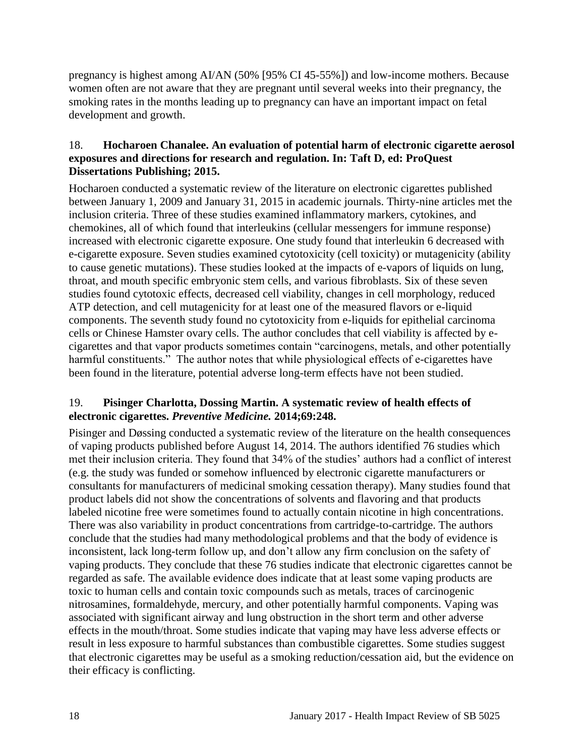pregnancy is highest among AI/AN (50% [95% CI 45-55%]) and low-income mothers. Because women often are not aware that they are pregnant until several weeks into their pregnancy, the smoking rates in the months leading up to pregnancy can have an important impact on fetal development and growth.

#### <span id="page-19-0"></span>18. **Hocharoen Chanalee. An evaluation of potential harm of electronic cigarette aerosol exposures and directions for research and regulation. In: Taft D, ed: ProQuest Dissertations Publishing; 2015.**

Hocharoen conducted a systematic review of the literature on electronic cigarettes published between January 1, 2009 and January 31, 2015 in academic journals. Thirty-nine articles met the inclusion criteria. Three of these studies examined inflammatory markers, cytokines, and chemokines, all of which found that interleukins (cellular messengers for immune response) increased with electronic cigarette exposure. One study found that interleukin 6 decreased with e-cigarette exposure. Seven studies examined cytotoxicity (cell toxicity) or mutagenicity (ability to cause genetic mutations). These studies looked at the impacts of e-vapors of liquids on lung, throat, and mouth specific embryonic stem cells, and various fibroblasts. Six of these seven studies found cytotoxic effects, decreased cell viability, changes in cell morphology, reduced ATP detection, and cell mutagenicity for at least one of the measured flavors or e-liquid components. The seventh study found no cytotoxicity from e-liquids for epithelial carcinoma cells or Chinese Hamster ovary cells. The author concludes that cell viability is affected by ecigarettes and that vapor products sometimes contain "carcinogens, metals, and other potentially harmful constituents." The author notes that while physiological effects of e-cigarettes have been found in the literature, potential adverse long-term effects have not been studied.

# <span id="page-19-1"></span>19. **Pisinger Charlotta, Dossing Martin. A systematic review of health effects of electronic cigarettes.** *Preventive Medicine.* **2014;69:248.**

Pisinger and Døssing conducted a systematic review of the literature on the health consequences of vaping products published before August 14, 2014. The authors identified 76 studies which met their inclusion criteria. They found that 34% of the studies' authors had a conflict of interest (e.g. the study was funded or somehow influenced by electronic cigarette manufacturers or consultants for manufacturers of medicinal smoking cessation therapy). Many studies found that product labels did not show the concentrations of solvents and flavoring and that products labeled nicotine free were sometimes found to actually contain nicotine in high concentrations. There was also variability in product concentrations from cartridge-to-cartridge. The authors conclude that the studies had many methodological problems and that the body of evidence is inconsistent, lack long-term follow up, and don't allow any firm conclusion on the safety of vaping products. They conclude that these 76 studies indicate that electronic cigarettes cannot be regarded as safe. The available evidence does indicate that at least some vaping products are toxic to human cells and contain toxic compounds such as metals, traces of carcinogenic nitrosamines, formaldehyde, mercury, and other potentially harmful components. Vaping was associated with significant airway and lung obstruction in the short term and other adverse effects in the mouth/throat. Some studies indicate that vaping may have less adverse effects or result in less exposure to harmful substances than combustible cigarettes. Some studies suggest that electronic cigarettes may be useful as a smoking reduction/cessation aid, but the evidence on their efficacy is conflicting.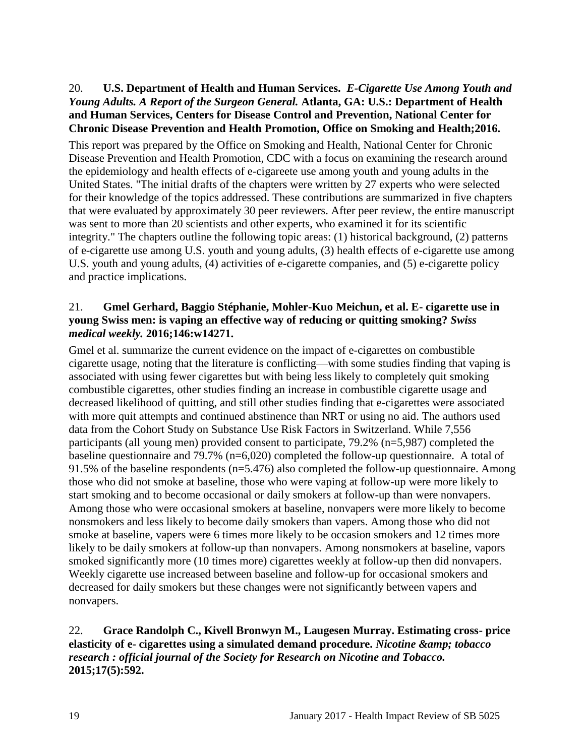#### <span id="page-20-0"></span>20. **U.S. Department of Health and Human Services.** *E-Cigarette Use Among Youth and Young Adults. A Report of the Surgeon General.* **Atlanta, GA: U.S.: Department of Health and Human Services, Centers for Disease Control and Prevention, National Center for Chronic Disease Prevention and Health Promotion, Office on Smoking and Health;2016.**

This report was prepared by the Office on Smoking and Health, National Center for Chronic Disease Prevention and Health Promotion, CDC with a focus on examining the research around the epidemiology and health effects of e-cigareete use among youth and young adults in the United States. "The initial drafts of the chapters were written by 27 experts who were selected for their knowledge of the topics addressed. These contributions are summarized in five chapters that were evaluated by approximately 30 peer reviewers. After peer review, the entire manuscript was sent to more than 20 scientists and other experts, who examined it for its scientific integrity." The chapters outline the following topic areas: (1) historical background, (2) patterns of e-cigarette use among U.S. youth and young adults, (3) health effects of e-cigarette use among U.S. youth and young adults, (4) activities of e-cigarette companies, and (5) e-cigarette policy and practice implications.

#### <span id="page-20-1"></span>21. **Gmel Gerhard, Baggio Stéphanie, Mohler-Kuo Meichun, et al. E- cigarette use in young Swiss men: is vaping an effective way of reducing or quitting smoking?** *Swiss medical weekly.* **2016;146:w14271.**

Gmel et al. summarize the current evidence on the impact of e-cigarettes on combustible cigarette usage, noting that the literature is conflicting—with some studies finding that vaping is associated with using fewer cigarettes but with being less likely to completely quit smoking combustible cigarettes, other studies finding an increase in combustible cigarette usage and decreased likelihood of quitting, and still other studies finding that e-cigarettes were associated with more quit attempts and continued abstinence than NRT or using no aid. The authors used data from the Cohort Study on Substance Use Risk Factors in Switzerland. While 7,556 participants (all young men) provided consent to participate, 79.2% (n=5,987) completed the baseline questionnaire and 79.7% (n=6,020) completed the follow-up questionnaire. A total of 91.5% of the baseline respondents (n=5.476) also completed the follow-up questionnaire. Among those who did not smoke at baseline, those who were vaping at follow-up were more likely to start smoking and to become occasional or daily smokers at follow-up than were nonvapers. Among those who were occasional smokers at baseline, nonvapers were more likely to become nonsmokers and less likely to become daily smokers than vapers. Among those who did not smoke at baseline, vapers were 6 times more likely to be occasion smokers and 12 times more likely to be daily smokers at follow-up than nonvapers. Among nonsmokers at baseline, vapors smoked significantly more (10 times more) cigarettes weekly at follow-up then did nonvapers. Weekly cigarette use increased between baseline and follow-up for occasional smokers and decreased for daily smokers but these changes were not significantly between vapers and nonvapers.

#### 22. **Grace Randolph C., Kivell Bronwyn M., Laugesen Murray. Estimating cross- price elasticity of e- cigarettes using a simulated demand procedure.** *Nicotine & tobacco research : official journal of the Society for Research on Nicotine and Tobacco.*  **2015;17(5):592.**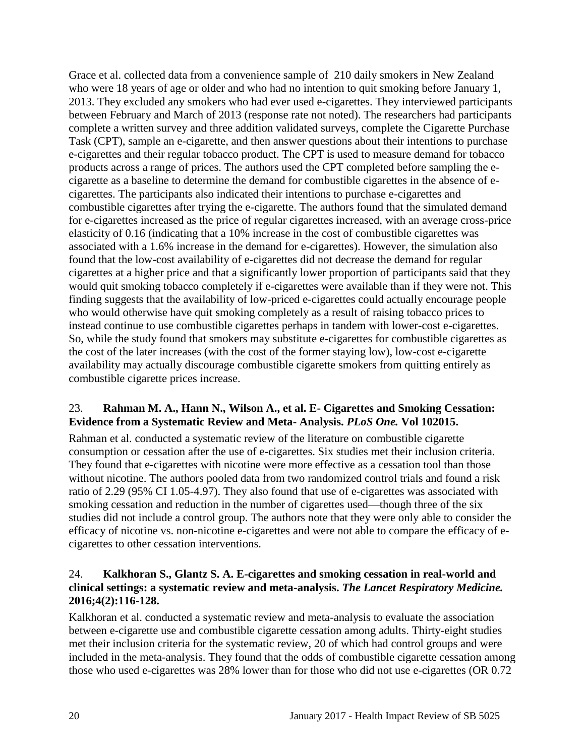Grace et al. collected data from a convenience sample of 210 daily smokers in New Zealand who were 18 years of age or older and who had no intention to quit smoking before January 1, 2013. They excluded any smokers who had ever used e-cigarettes. They interviewed participants between February and March of 2013 (response rate not noted). The researchers had participants complete a written survey and three addition validated surveys, complete the Cigarette Purchase Task (CPT), sample an e-cigarette, and then answer questions about their intentions to purchase e-cigarettes and their regular tobacco product. The CPT is used to measure demand for tobacco products across a range of prices. The authors used the CPT completed before sampling the ecigarette as a baseline to determine the demand for combustible cigarettes in the absence of ecigarettes. The participants also indicated their intentions to purchase e-cigarettes and combustible cigarettes after trying the e-cigarette. The authors found that the simulated demand for e-cigarettes increased as the price of regular cigarettes increased, with an average cross-price elasticity of 0.16 (indicating that a 10% increase in the cost of combustible cigarettes was associated with a 1.6% increase in the demand for e-cigarettes). However, the simulation also found that the low-cost availability of e-cigarettes did not decrease the demand for regular cigarettes at a higher price and that a significantly lower proportion of participants said that they would quit smoking tobacco completely if e-cigarettes were available than if they were not. This finding suggests that the availability of low-priced e-cigarettes could actually encourage people who would otherwise have quit smoking completely as a result of raising tobacco prices to instead continue to use combustible cigarettes perhaps in tandem with lower-cost e-cigarettes. So, while the study found that smokers may substitute e-cigarettes for combustible cigarettes as the cost of the later increases (with the cost of the former staying low), low-cost e-cigarette availability may actually discourage combustible cigarette smokers from quitting entirely as combustible cigarette prices increase.

# 23. **Rahman M. A., Hann N., Wilson A., et al. E- Cigarettes and Smoking Cessation: Evidence from a Systematic Review and Meta- Analysis.** *PLoS One.* **Vol 102015.**

Rahman et al. conducted a systematic review of the literature on combustible cigarette consumption or cessation after the use of e-cigarettes. Six studies met their inclusion criteria. They found that e-cigarettes with nicotine were more effective as a cessation tool than those without nicotine. The authors pooled data from two randomized control trials and found a risk ratio of 2.29 (95% CI 1.05-4.97). They also found that use of e-cigarettes was associated with smoking cessation and reduction in the number of cigarettes used—though three of the six studies did not include a control group. The authors note that they were only able to consider the efficacy of nicotine vs. non-nicotine e-cigarettes and were not able to compare the efficacy of ecigarettes to other cessation interventions.

# <span id="page-21-0"></span>24. **Kalkhoran S., Glantz S. A. E-cigarettes and smoking cessation in real-world and clinical settings: a systematic review and meta-analysis.** *The Lancet Respiratory Medicine.*  **2016;4(2):116-128.**

Kalkhoran et al. conducted a systematic review and meta-analysis to evaluate the association between e-cigarette use and combustible cigarette cessation among adults. Thirty-eight studies met their inclusion criteria for the systematic review, 20 of which had control groups and were included in the meta-analysis. They found that the odds of combustible cigarette cessation among those who used e-cigarettes was 28% lower than for those who did not use e-cigarettes (OR 0.72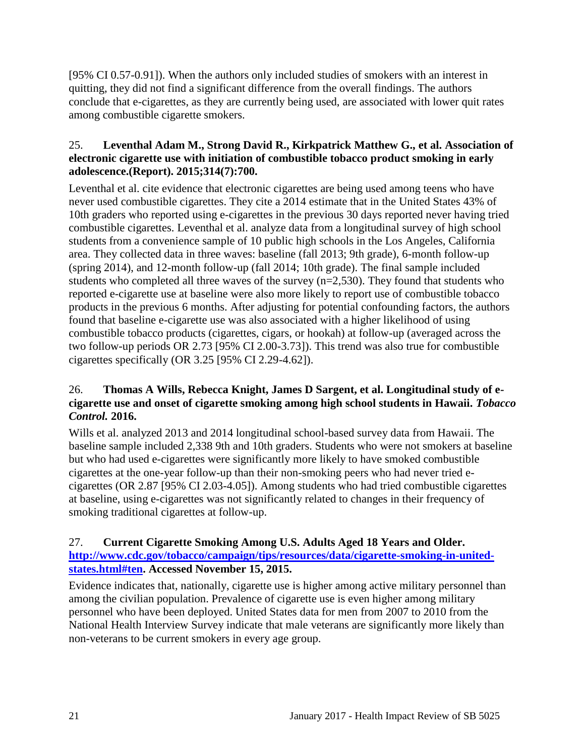[95% CI 0.57-0.91]). When the authors only included studies of smokers with an interest in quitting, they did not find a significant difference from the overall findings. The authors conclude that e-cigarettes, as they are currently being used, are associated with lower quit rates among combustible cigarette smokers.

#### <span id="page-22-0"></span>25. **Leventhal Adam M., Strong David R., Kirkpatrick Matthew G., et al. Association of electronic cigarette use with initiation of combustible tobacco product smoking in early adolescence.(Report). 2015;314(7):700.**

Leventhal et al. cite evidence that electronic cigarettes are being used among teens who have never used combustible cigarettes. They cite a 2014 estimate that in the United States 43% of 10th graders who reported using e-cigarettes in the previous 30 days reported never having tried combustible cigarettes. Leventhal et al. analyze data from a longitudinal survey of high school students from a convenience sample of 10 public high schools in the Los Angeles, California area. They collected data in three waves: baseline (fall 2013; 9th grade), 6-month follow-up (spring 2014), and 12-month follow-up (fall 2014; 10th grade). The final sample included students who completed all three waves of the survey (n=2,530). They found that students who reported e-cigarette use at baseline were also more likely to report use of combustible tobacco products in the previous 6 months. After adjusting for potential confounding factors, the authors found that baseline e-cigarette use was also associated with a higher likelihood of using combustible tobacco products (cigarettes, cigars, or hookah) at follow-up (averaged across the two follow-up periods OR 2.73 [95% CI 2.00-3.73]). This trend was also true for combustible cigarettes specifically (OR 3.25 [95% CI 2.29-4.62]).

# <span id="page-22-1"></span>26. **Thomas A Wills, Rebecca Knight, James D Sargent, et al. Longitudinal study of ecigarette use and onset of cigarette smoking among high school students in Hawaii.** *Tobacco Control.* **2016.**

Wills et al. analyzed 2013 and 2014 longitudinal school-based survey data from Hawaii. The baseline sample included 2,338 9th and 10th graders. Students who were not smokers at baseline but who had used e-cigarettes were significantly more likely to have smoked combustible cigarettes at the one-year follow-up than their non-smoking peers who had never tried ecigarettes (OR 2.87 [95% CI 2.03-4.05]). Among students who had tried combustible cigarettes at baseline, using e-cigarettes was not significantly related to changes in their frequency of smoking traditional cigarettes at follow-up.

# <span id="page-22-2"></span>27. **Current Cigarette Smoking Among U.S. Adults Aged 18 Years and Older. [http://www.cdc.gov/tobacco/campaign/tips/resources/data/cigarette-smoking-in-united](http://www.cdc.gov/tobacco/campaign/tips/resources/data/cigarette-smoking-in-united-states.html#ten)[states.html#ten.](http://www.cdc.gov/tobacco/campaign/tips/resources/data/cigarette-smoking-in-united-states.html#ten) Accessed November 15, 2015.**

Evidence indicates that, nationally, cigarette use is higher among active military personnel than among the civilian population. Prevalence of cigarette use is even higher among military personnel who have been deployed. United States data for men from 2007 to 2010 from the National Health Interview Survey indicate that male veterans are significantly more likely than non-veterans to be current smokers in every age group.